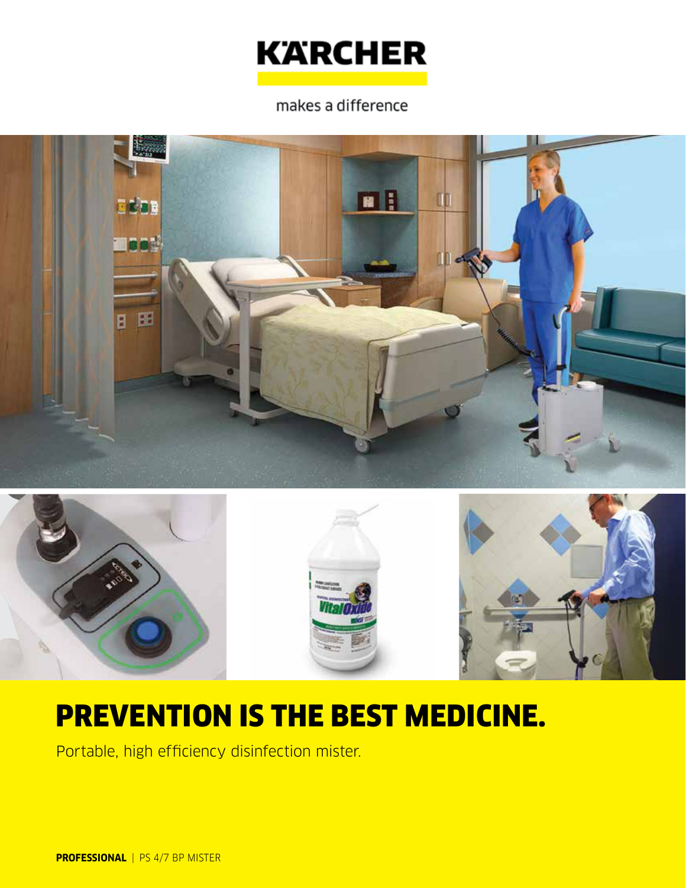

makes a difference





# PREVENTION IS THE BEST MEDICINE.

Portable, high efficiency disinfection mister.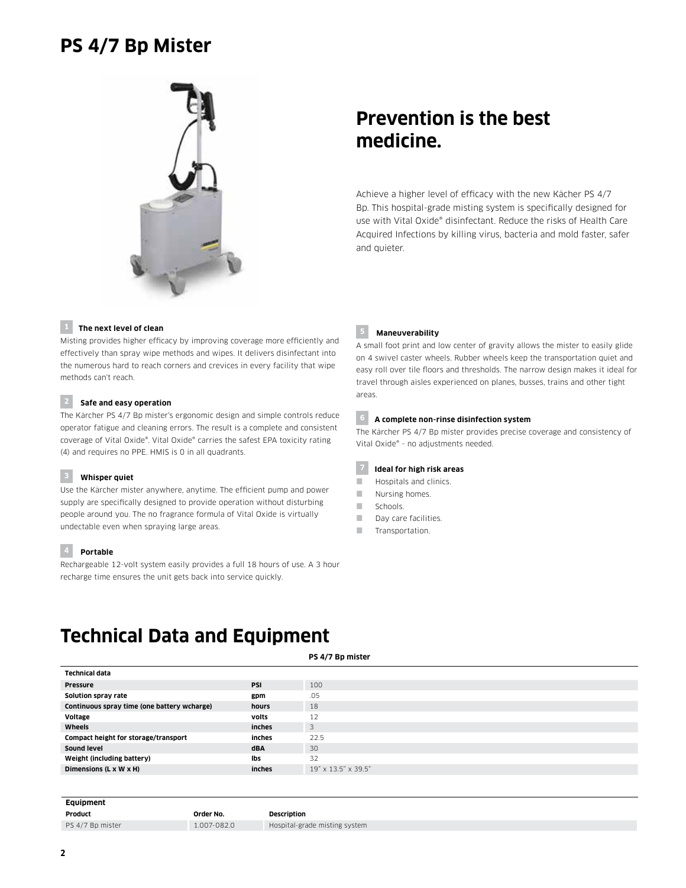# **PS 4/7 Bp Mister**



# **Prevention is the best medicine.**

Achieve a higher level of efficacy with the new Kächer PS 4/7 Bp. This hospital-grade misting system is specifically designed for use with Vital Oxide® disinfectant. Reduce the risks of Health Care Acquired Infections by killing virus, bacteria and mold faster, safer and quieter.

### **1 The next level of clean**

Misting provides higher efficacy by improving coverage more efficiently and effectively than spray wipe methods and wipes. It delivers disinfectant into the numerous hard to reach corners and crevices in every facility that wipe methods can't reach.

## **2 Safe and easy operation**

The Kärcher PS 4/7 Bp mister's ergonomic design and simple controls reduce operator fatigue and cleaning errors. The result is a complete and consistent coverage of Vital Oxide®. Vital Oxide® carries the safest EPA toxicity rating (4) and requires no PPE. HMIS is 0 in all quadrants.

### **3 Whisper quiet**

Use the Kärcher mister anywhere, anytime. The efficient pump and power supply are specifically designed to provide operation without disturbing people around you. The no fragrance formula of Vital Oxide is virtually undectable even when spraying large areas.

# **4 Portable**

Rechargeable 12-volt system easily provides a full 18 hours of use. A 3 hour recharge time ensures the unit gets back into service quickly.

### **5 Maneuverability**

A small foot print and low center of gravity allows the mister to easily glide on 4 swivel caster wheels. Rubber wheels keep the transportation quiet and easy roll over tile floors and thresholds. The narrow design makes it ideal for travel through aisles experienced on planes, busses, trains and other tight areas.

# **6 A complete non-rinse disinfection system**

The Kärcher PS 4/7 Bp mister provides precise coverage and consistency of Vital Oxide® - no adjustments needed.

### **7 Ideal for high risk areas**

- **Hospitals and clinics.**
- Nursing homes.
- Schools.
- Day care facilities.
- **Transportation**

# **Technical Data and Equipment**

### **PS 4/7 Bp mister**

| <b>Technical data</b>                       |            |                     |
|---------------------------------------------|------------|---------------------|
| <b>Pressure</b>                             | <b>PSI</b> | 100                 |
| Solution spray rate                         | gpm        | .05                 |
| Continuous spray time (one battery wcharge) | hours      | 18                  |
| Voltage                                     | volts      | 12                  |
| Wheels                                      | inches     | 3                   |
| Compact height for storage/transport        | inches     | 22.5                |
| Sound level                                 | <b>dBA</b> | 30                  |
| Weight (including battery)                  | Ibs        | 32                  |
| Dimensions (L x W x H)                      | inches     | 19" x 13.5" x 39.5" |
|                                             |            |                     |

### **Equipment**

| Product          | Order No.   | <b>Description</b> |
|------------------|-------------|--------------------|
| PS 4/7 Bp mister | 1.007-082.0 | Hospital-gr        |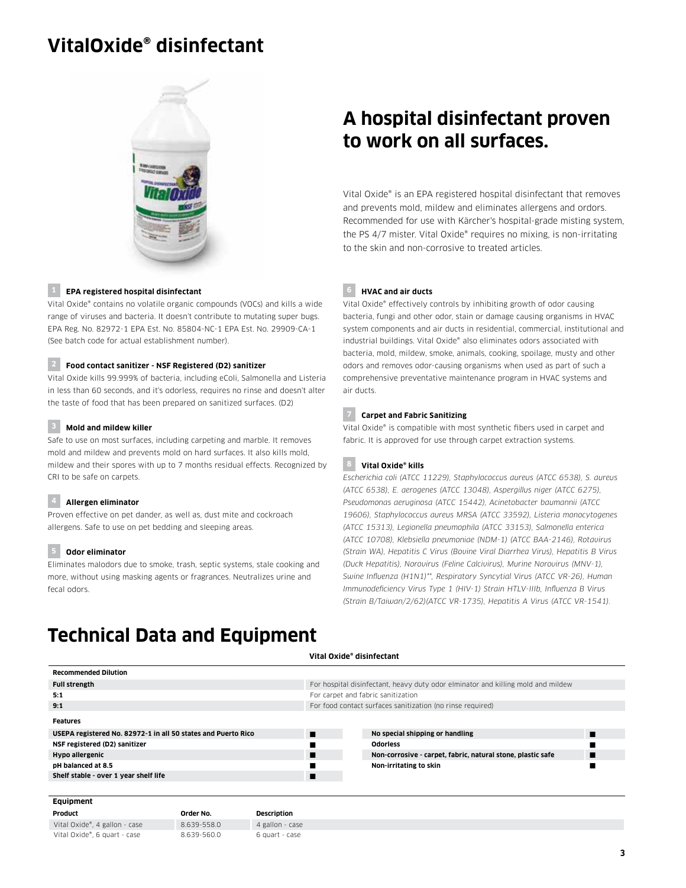# **VitalOxide® disinfectant**



### **1 EPA registered hospital disinfectant**

Vital Oxide® contains no volatile organic compounds (VOCs) and kills a wide range of viruses and bacteria. It doesn't contribute to mutating super bugs. EPA Reg. No. 82972-1 EPA Est. No. 85804-NC-1 EPA Est. No. 29909-CA-1 (See batch code for actual establishment number).

### **2 Food contact sanitizer - NSF Registered (D2) sanitizer**

Vital Oxide kills 99.999% of bacteria, including eColi, Salmonella and Listeria in less than 60 seconds, and it's odorless, requires no rinse and doesn't alter the taste of food that has been prepared on sanitized surfaces. (D2)

### **3 Mold and mildew killer**

Safe to use on most surfaces, including carpeting and marble. It removes mold and mildew and prevents mold on hard surfaces. It also kills mold, mildew and their spores with up to 7 months residual effects. Recognized by CRI to be safe on carpets.

#### **4 Allergen eliminator**

Proven effective on pet dander, as well as, dust mite and cockroach allergens. Safe to use on pet bedding and sleeping areas.

#### **5 Odor eliminator**

Eliminates malodors due to smoke, trash, septic systems, stale cooking and more, without using masking agents or fragrances. Neutralizes urine and fecal odors.

# **A hospital disinfectant proven to work on all surfaces.**

Vital Oxide® is an EPA registered hospital disinfectant that removes and prevents mold, mildew and eliminates allergens and ordors. Recommended for use with Kärcher's hospital-grade misting system, the PS 4/7 mister. Vital Oxide® requires no mixing, is non-irritating to the skin and non-corrosive to treated articles.

#### **6 HVAC and air ducts**

Vital Oxide® effectively controls by inhibiting growth of odor causing bacteria, fungi and other odor, stain or damage causing organisms in HVAC system components and air ducts in residential, commercial, institutional and industrial buildings. Vital Oxide® also eliminates odors associated with bacteria, mold, mildew, smoke, animals, cooking, spoilage, musty and other odors and removes odor-causing organisms when used as part of such a comprehensive preventative maintenance program in HVAC systems and air ducts.

### **7 Carpet and Fabric Sanitizing**

Vital Oxide® is compatible with most synthetic fibers used in carpet and fabric. It is approved for use through carpet extraction systems.

### **8 Vital Oxide® kills**

*Escherichia coli (ATCC 11229), Staphylococcus aureus (ATCC 6538), S. aureus (ATCC 6538), E. aerogenes (ATCC 13048), Aspergillus niger (ATCC 6275), Pseudomonas aeruginosa (ATCC 15442), Acinetobacter baumannii (ATCC 19606), Staphylococcus aureus MRSA (ATCC 33592), Listeria monocytogenes (ATCC 15313), Legionella pneumophila (ATCC 33153), Salmonella enterica (ATCC 10708), Klebsiella pneumoniae (NDM-1) (ATCC BAA-2146), Rotavirus (Strain WA), Hepatitis C Virus (Bovine Viral Diarrhea Virus), Hepatitis B Virus (Duck Hepatitis), Norovirus (Feline Calcivirus), Murine Norovirus (MNV-1), Swine Influenza (H1N1)\*\*, Respiratory Syncytial Virus (ATCC VR-26), Human Immunodeficiency Virus Type 1 (HIV-1) Strain HTLV-IIIb, Influenza B Virus (Strain B/Taiwan/2/62)(ATCC VR-1735), Hepatitis A Virus (ATCC VR-1541).*

# **Technical Data and Equipment**

Vital Oxide®, 6 quart - case 8.639-560.0 6 quart - case

#### **Vital Oxide® disinfectant**

| <b>Recommended Dilution</b>                                   |             |                                    |                                                                                  |                                                             |   |
|---------------------------------------------------------------|-------------|------------------------------------|----------------------------------------------------------------------------------|-------------------------------------------------------------|---|
| <b>Full strength</b>                                          |             |                                    | For hospital disinfectant, heavy duty odor elminator and killing mold and mildew |                                                             |   |
| 5:1                                                           |             | For carpet and fabric sanitization |                                                                                  |                                                             |   |
| 9:1                                                           |             |                                    | For food contact surfaces sanitization (no rinse required)                       |                                                             |   |
| Features                                                      |             |                                    |                                                                                  |                                                             |   |
| USEPA registered No. 82972-1 in all 50 states and Puerto Rico |             |                                    | ▬                                                                                | No special shipping or handling                             | п |
| NSF registered (D2) sanitizer                                 |             |                                    |                                                                                  | <b>Odorless</b>                                             |   |
| Hypo allergenic                                               |             |                                    | ■                                                                                | Non-corrosive - carpet, fabric, natural stone, plastic safe |   |
| pH balanced at 8.5                                            |             |                                    |                                                                                  | Non-irritating to skin                                      |   |
| Shelf stable - over 1 year shelf life                         |             |                                    | п                                                                                |                                                             |   |
|                                                               |             |                                    |                                                                                  |                                                             |   |
| Equipment                                                     |             |                                    |                                                                                  |                                                             |   |
| Product                                                       | Order No.   | <b>Description</b>                 |                                                                                  |                                                             |   |
| Vital Oxide®, 4 gallon - case                                 | 8.639-558.0 | 4 gallon - case                    |                                                                                  |                                                             |   |